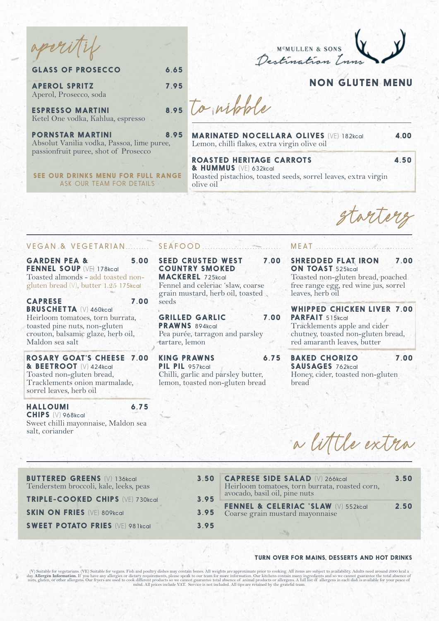aperitif

| Destination Lune |  |
|------------------|--|

# **NON GLUTEN MENU**

**APEROL SPRITZ 7.95** Aperol, Prosecco, soda

**ESPRESSO MARTINI** Ketel One vodka, Kahlua, espresso

**PORNSTAR MARTINI 8.95** Absolut Vanilia vodka, Passoa, lime puree, passionfruit puree, shot of Prosecco

**GLASS OF PROSECCO 6.65**

**SEE OUR DRINKS MENU FOR FULL RANGE** ASK OUR TEAM FOR DETAILS

8.95 to withthe

**MARINATED NOCELLARA OLIVES** (VE) 182kcal **4.00** Lemon, chilli flakes, extra virgin olive oil

**ROASTED HERITAGE CARROTS** 4.50 **& HUMMUS** (VE) 632kcal Roasted pistachios, toasted seeds, sorrel leaves, extra virgin

starters

#### VEGAN & VEGETARIAN

**GARDEN PEA & 5.00 FENNEL SOUP** (VE) 178kcal Toasted almonds - add toasted nongluten bread (V), butter 1.25 175kcal

**CAPRESE 7.00 BRUSCHETTA** (V) 460kcal Heirloom tomatoes, torn burrata, toasted pine nuts, non-gluten crouton, balsamic glaze, herb oil, Maldon sea salt

**ROSARY GOAT'S CHEESE 7.00 & BEETROOT** (V) 424kcal Toasted non-gluten bread, Tracklements onion marmalade, sorrel leaves, herb oil

**HALLOUMI 6.75 CHIPS** (V) 968kcal Sweet chilli mayonnaise, Maldon sea salt, coriander

## SEAFOOD ......

olive oil

**SEED CRUSTED WEST 7.00 COUNTRY SMOKED MACKEREL** 725kcal Fennel and celeriac 'slaw, coarse

grain mustard, herb oil, toasted seeds

**GRILLED GARLIC 7.00 PRAWNS** 894kcal Pea purée, tarragon and parsley tartare, lemon

**KING PRAWNS 6.75 PIL PIL** 957kcal Chilli, garlic and parsley butter, lemon, toasted non-gluten bread

### **MEAT**

**SHREDDED FLAT IRON 7.00 ON TOAST** 525kcal

Toasted non-gluten bread, poached free range egg, red wine jus, sorrel leaves, herb oil

**WHIPPED CHICKEN LIVER 7.00** PARFAIT 515kcal

Tracklements apple and cider chutney, toasted non-gluten bread, red amaranth leaves, butter

**BAKED CHORIZO 7.00 SAUSAGES** 762kcal Honey, cider, toasted non-gluten bread

a little extra

| <b>BUTTERED GREENS (V) 136kcal</b><br>Tenderstem broccoli, kale, leeks, peas | 3.50         | <b>CAPRESE SIDE SALAD (V) 266kcal</b><br>Heirloom tomatoes, torn burrata, roasted corn,<br>avocado, basil oil, pine nuts | 3.50 |
|------------------------------------------------------------------------------|--------------|--------------------------------------------------------------------------------------------------------------------------|------|
| TRIPLE-COOKED CHIPS (VE) 730kcal<br><b>SKIN ON FRIES (VE) 809kcal</b>        | 3.95<br>3.95 | <b>FENNEL &amp; CELERIAC 'SLAW</b> (V) 552kcal<br>Coarse grain mustard mayonnaise                                        | 2.50 |
| <b>SWEET POTATO FRIES (VE) 98 Ikcal</b>                                      | 3.95         |                                                                                                                          |      |

#### **TURN OVER FOR MAINS, DESSERTS AND HOT DRINKS**

(V) Suitable for vegetarians. (VE) Suitable for vegans. Fish and poultry dishes may contain bones. All weights are approximate prior to cooking. All items are subject to availability. Adults need around 2000 kcal a day. Al